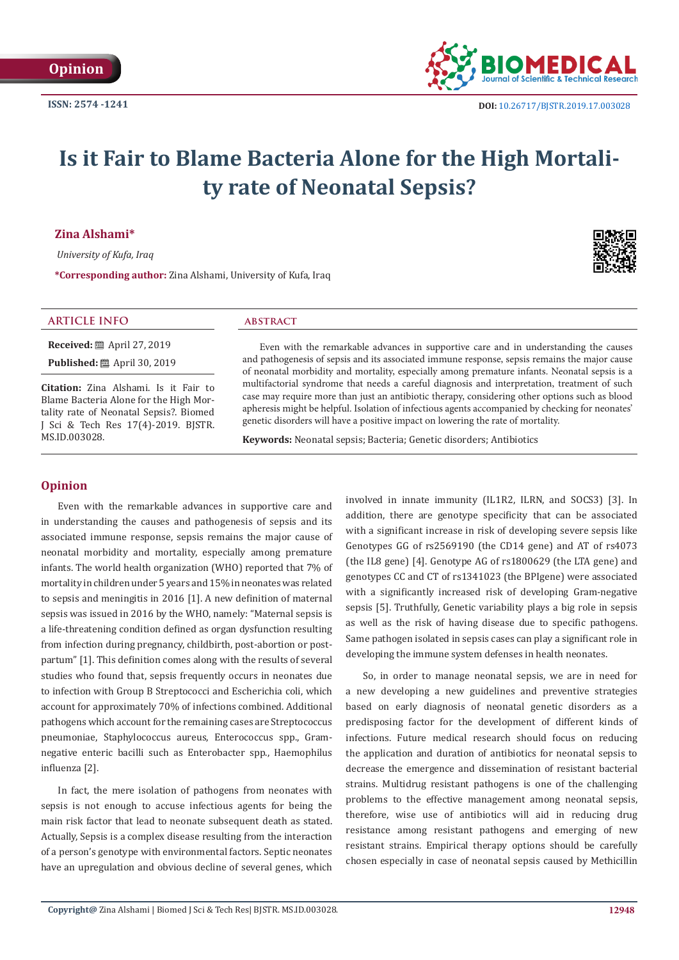

# **Is it Fair to Blame Bacteria Alone for the High Mortality rate of Neonatal Sepsis?**

**Zina Alshami\***

 *University of Kufa, Iraq*

**\*Corresponding author:** Zina Alshami, University of Kufa, Iraq

## **ARTICLE INFO abstract**

**Received:** ■ April 27, 2019

**Published:** ■ April 30, 2019

**Citation:** Zina Alshami. Is it Fair to Blame Bacteria Alone for the High Mortality rate of Neonatal Sepsis?. Biomed J Sci & Tech Res 17(4)-2019. BJSTR. MS.ID.003028.

Even with the remarkable advances in supportive care and in understanding the causes and pathogenesis of sepsis and its associated immune response, sepsis remains the major cause of neonatal morbidity and mortality, especially among premature infants. Neonatal sepsis is a multifactorial syndrome that needs a careful diagnosis and interpretation, treatment of such case may require more than just an antibiotic therapy, considering other options such as blood apheresis might be helpful. Isolation of infectious agents accompanied by checking for neonates' genetic disorders will have a positive impact on lowering the rate of mortality.

**Keywords:** Neonatal sepsis; Bacteria; Genetic disorders; Antibiotics

# **Opinion**

Even with the remarkable advances in supportive care and in understanding the causes and pathogenesis of sepsis and its associated immune response, sepsis remains the major cause of neonatal morbidity and mortality, especially among premature infants. The world health organization (WHO) reported that 7% of mortality in children under 5 years and 15% in neonates was related to sepsis and meningitis in 2016 [1]. A new definition of maternal sepsis was issued in 2016 by the WHO, namely: "Maternal sepsis is a life-threatening condition defined as organ dysfunction resulting from infection during pregnancy, childbirth, post-abortion or postpartum" [1]. This definition comes along with the results of several studies who found that, sepsis frequently occurs in neonates due to infection with Group B Streptococci and Escherichia coli, which account for approximately 70% of infections combined. Additional pathogens which account for the remaining cases are Streptococcus pneumoniae, Staphylococcus aureus, Enterococcus spp., Gramnegative enteric bacilli such as Enterobacter spp., Haemophilus influenza [2].

In fact, the mere isolation of pathogens from neonates with sepsis is not enough to accuse infectious agents for being the main risk factor that lead to neonate subsequent death as stated. Actually, Sepsis is a complex disease resulting from the interaction of a person's genotype with environmental factors. Septic neonates have an upregulation and obvious decline of several genes, which

involved in innate immunity (IL1R2, ILRN, and SOCS3) [3]. In addition, there are genotype specificity that can be associated with a significant increase in risk of developing severe sepsis like Genotypes GG of rs2569190 (the CD14 gene) and AT of rs4073 (the IL8 gene) [4]. Genotype AG of rs1800629 (the LTA gene) and genotypes CC and CT of rs1341023 (the BPIgene) were associated with a significantly increased risk of developing Gram-negative sepsis [5]. Truthfully, Genetic variability plays a big role in sepsis as well as the risk of having disease due to specific pathogens. Same pathogen isolated in sepsis cases can play a significant role in developing the immune system defenses in health neonates.

So, in order to manage neonatal sepsis, we are in need for a new developing a new guidelines and preventive strategies based on early diagnosis of neonatal genetic disorders as a predisposing factor for the development of different kinds of infections. Future medical research should focus on reducing the application and duration of antibiotics for neonatal sepsis to decrease the emergence and dissemination of resistant bacterial strains. Multidrug resistant pathogens is one of the challenging problems to the effective management among neonatal sepsis, therefore, wise use of antibiotics will aid in reducing drug resistance among resistant pathogens and emerging of new resistant strains. Empirical therapy options should be carefully chosen especially in case of neonatal sepsis caused by Methicillin